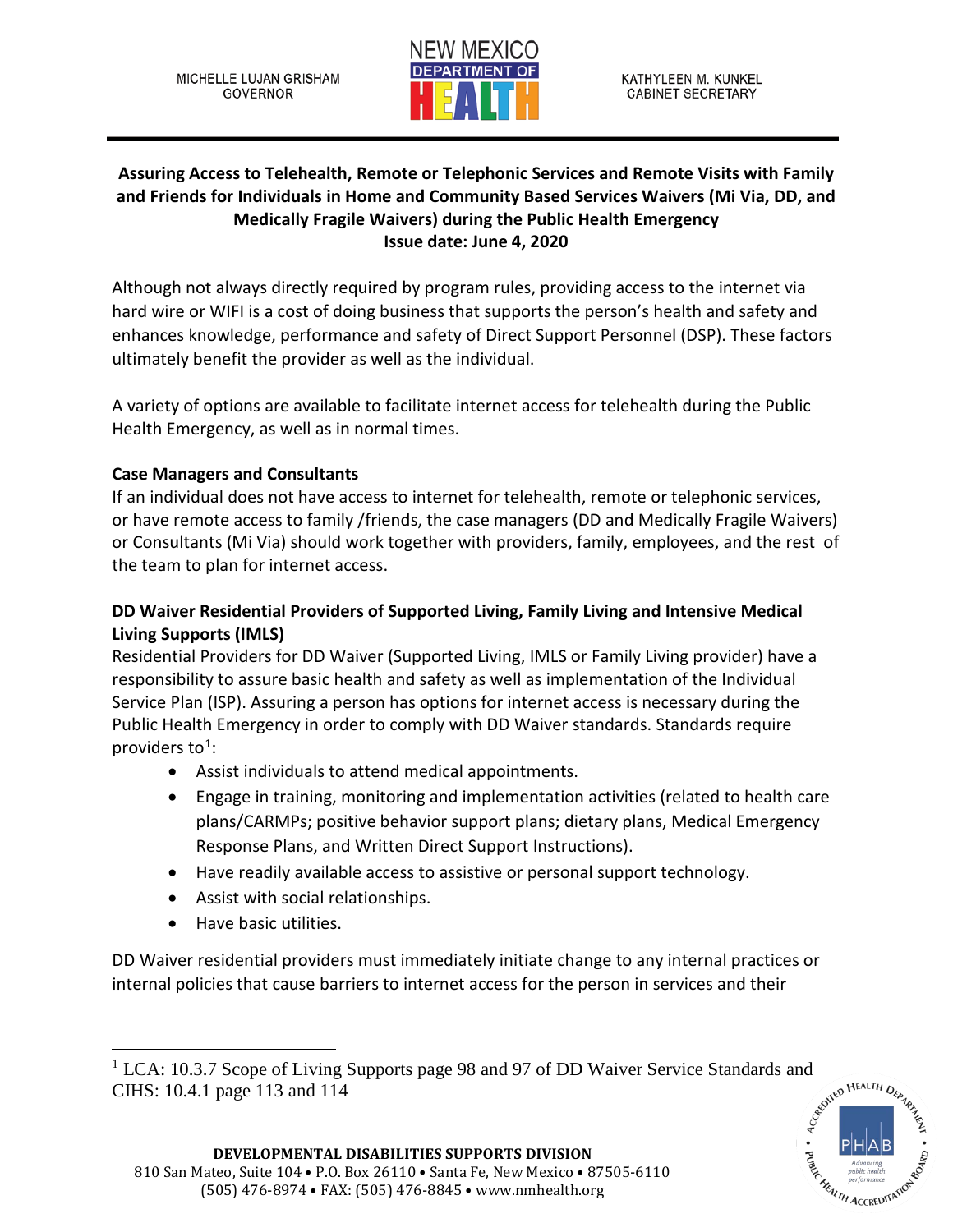MICHELLE LUJAN GRISHAM **GOVERNOR** 



## **Assuring Access to Telehealth, Remote or Telephonic Services and Remote Visits with Family and Friends for Individuals in Home and Community Based Services Waivers (Mi Via, DD, and Medically Fragile Waivers) during the Public Health Emergency Issue date: June 4, 2020**

Although not always directly required by program rules, providing access to the internet via hard wire or WIFI is a cost of doing business that supports the person's health and safety and enhances knowledge, performance and safety of Direct Support Personnel (DSP). These factors ultimately benefit the provider as well as the individual.

A variety of options are available to facilitate internet access for telehealth during the Public Health Emergency, as well as in normal times.

## **Case Managers and Consultants**

If an individual does not have access to internet for telehealth, remote or telephonic services, or have remote access to family /friends, the case managers (DD and Medically Fragile Waivers) or Consultants (Mi Via) should work together with providers, family, employees, and the rest of the team to plan for internet access.

## **DD Waiver Residential Providers of Supported Living, Family Living and Intensive Medical Living Supports (IMLS)**

Residential Providers for DD Waiver (Supported Living, IMLS or Family Living provider) have a responsibility to assure basic health and safety as well as implementation of the Individual Service Plan (ISP). Assuring a person has options for internet access is necessary during the Public Health Emergency in order to comply with DD Waiver standards. Standards require providers to<sup>1</sup>:

- Assist individuals to attend medical appointments.
- Engage in training, monitoring and implementation activities (related to health care plans/CARMPs; positive behavior support plans; dietary plans, Medical Emergency Response Plans, and Written Direct Support Instructions).
- Have readily available access to assistive or personal support technology.
- Assist with social relationships.
- Have basic utilities.

DD Waiver residential providers must immediately initiate change to any internal practices or internal policies that cause barriers to internet access for the person in services and their

<span id="page-0-0"></span><sup>&</sup>lt;sup>1</sup> LCA: 10.3.7 Scope of Living Supports page 98 and 97 of DD Waiver Service Standards and CIHS: 10.4.1 page 113 and 114 CIHS: 10.4.1 page 113 and 114